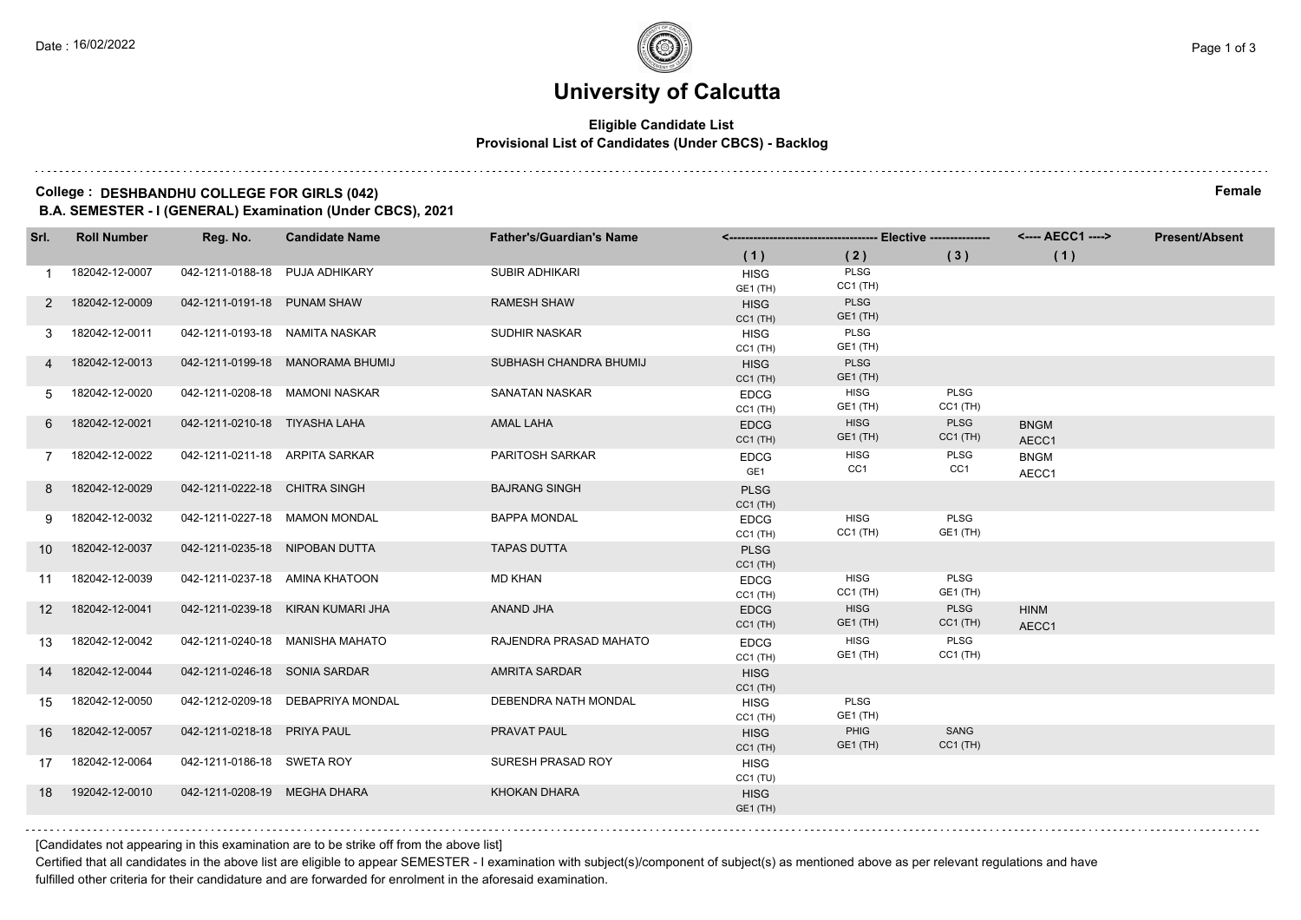# **University of Calcutta**

#### **Eligible Candidate List Provisional List of Candidates (Under CBCS) - Backlog**

### **College : DESHBANDHU COLLEGE FOR GIRLS (042) Female**

**B.A. SEMESTER - I (GENERAL) Examination (Under CBCS), 2021**

| Srl.            | <b>Roll Number</b> | Reg. No.                       | <b>Candidate Name</b>             | <b>Father's/Guardian's Name</b> |                                |                                |                           | <b>Present/Absent</b> |  |
|-----------------|--------------------|--------------------------------|-----------------------------------|---------------------------------|--------------------------------|--------------------------------|---------------------------|-----------------------|--|
|                 |                    |                                |                                   |                                 | (1)                            | (2)                            | (3)                       | (1)                   |  |
|                 | 182042-12-0007     | 042-1211-0188-18 PUJA ADHIKARY |                                   | <b>SUBIR ADHIKARI</b>           | <b>HISG</b><br>GE1 (TH)        | <b>PLSG</b><br>$CC1$ (TH)      |                           |                       |  |
| 2               | 182042-12-0009     | 042-1211-0191-18 PUNAM SHAW    |                                   | <b>RAMESH SHAW</b>              | <b>HISG</b><br>$CC1$ (TH)      | <b>PLSG</b><br>GE1 (TH)        |                           |                       |  |
| 3               | 182042-12-0011     | 042-1211-0193-18 NAMITA NASKAR |                                   | <b>SUDHIR NASKAR</b>            | <b>HISG</b><br>$CC1$ (TH)      | PLSG<br>GE1 (TH)               |                           |                       |  |
| 4               | 182042-12-0013     |                                | 042-1211-0199-18 MANORAMA BHUMIJ  | SUBHASH CHANDRA BHUMIJ          | <b>HISG</b><br>$CC1$ (TH)      | <b>PLSG</b><br><b>GE1 (TH)</b> |                           |                       |  |
| 5               | 182042-12-0020     |                                | 042-1211-0208-18 MAMONI NASKAR    | SANATAN NASKAR                  | <b>EDCG</b><br>$CC1$ (TH)      | <b>HISG</b><br>GE1 (TH)        | PLSG<br>$CC1$ (TH)        |                       |  |
| 6               | 182042-12-0021     | 042-1211-0210-18 TIYASHA LAHA  |                                   | <b>AMAL LAHA</b>                | <b>EDCG</b><br>$CC1$ (TH)      | <b>HISG</b><br>GE1 (TH)        | PLSG<br>$CC1$ (TH)        | <b>BNGM</b><br>AECC1  |  |
| $\overline{7}$  | 182042-12-0022     | 042-1211-0211-18 ARPITA SARKAR |                                   | <b>PARITOSH SARKAR</b>          | <b>EDCG</b><br>GE <sub>1</sub> | <b>HISG</b><br>CC1             | PLSG<br>CC1               | <b>BNGM</b><br>AECC1  |  |
| 8               | 182042-12-0029     | 042-1211-0222-18 CHITRA SINGH  |                                   | <b>BAJRANG SINGH</b>            | <b>PLSG</b><br>$CC1$ (TH)      |                                |                           |                       |  |
| 9               | 182042-12-0032     | 042-1211-0227-18 MAMON MONDAL  |                                   | <b>BAPPA MONDAL</b>             | <b>EDCG</b><br>$CC1$ (TH)      | <b>HISG</b><br>$CC1$ (TH)      | PLSG<br><b>GE1 (TH)</b>   |                       |  |
| 10 <sup>1</sup> | 182042-12-0037     | 042-1211-0235-18 NIPOBAN DUTTA |                                   | <b>TAPAS DUTTA</b>              | <b>PLSG</b><br>$CC1$ (TH)      |                                |                           |                       |  |
| 11              | 182042-12-0039     |                                | 042-1211-0237-18 AMINA KHATOON    | <b>MD KHAN</b>                  | <b>EDCG</b><br>$CC1$ (TH)      | <b>HISG</b><br>$CC1$ (TH)      | PLSG<br><b>GE1 (TH)</b>   |                       |  |
| 12 <sup>2</sup> | 182042-12-0041     |                                | 042-1211-0239-18 KIRAN KUMARI JHA | ANAND JHA                       | <b>EDCG</b><br>$CC1$ (TH)      | <b>HISG</b><br>GE1 (TH)        | PLSG<br>$CC1$ (TH)        | <b>HINM</b><br>AECC1  |  |
| 13              | 182042-12-0042     |                                | 042-1211-0240-18 MANISHA MAHATO   | RAJENDRA PRASAD MAHATO          | <b>EDCG</b><br>$CC1$ (TH)      | <b>HISG</b><br>GE1 (TH)        | <b>PLSG</b><br>$CC1$ (TH) |                       |  |
| 14              | 182042-12-0044     | 042-1211-0246-18 SONIA SARDAR  |                                   | <b>AMRITA SARDAR</b>            | <b>HISG</b><br>$CC1$ (TH)      |                                |                           |                       |  |
| 15              | 182042-12-0050     |                                | 042-1212-0209-18 DEBAPRIYA MONDAL | DEBENDRA NATH MONDAL            | <b>HISG</b><br>$CC1$ (TH)      | PLSG<br>GE1 (TH)               |                           |                       |  |
| 16              | 182042-12-0057     | 042-1211-0218-18 PRIYA PAUL    |                                   | PRAVAT PAUL                     | <b>HISG</b><br>$CC1$ (TH)      | PHIG<br><b>GE1 (TH)</b>        | SANG<br>$CC1$ (TH)        |                       |  |
| 17              | 182042-12-0064     | 042-1211-0186-18 SWETA ROY     |                                   | SURESH PRASAD ROY               | <b>HISG</b><br>CC1(TU)         |                                |                           |                       |  |
| 18              | 192042-12-0010     | 042-1211-0208-19 MEGHA DHARA   |                                   | <b>KHOKAN DHARA</b>             | <b>HISG</b><br><b>GE1 (TH)</b> |                                |                           |                       |  |
|                 |                    |                                |                                   |                                 |                                |                                |                           |                       |  |

[Candidates not appearing in this examination are to be strike off from the above list]

Certified that all candidates in the above list are eligible to appear SEMESTER - I examination with subject(s)/component of subject(s) as mentioned above as per relevant regulations and have fulfilled other criteria for their candidature and are forwarded for enrolment in the aforesaid examination.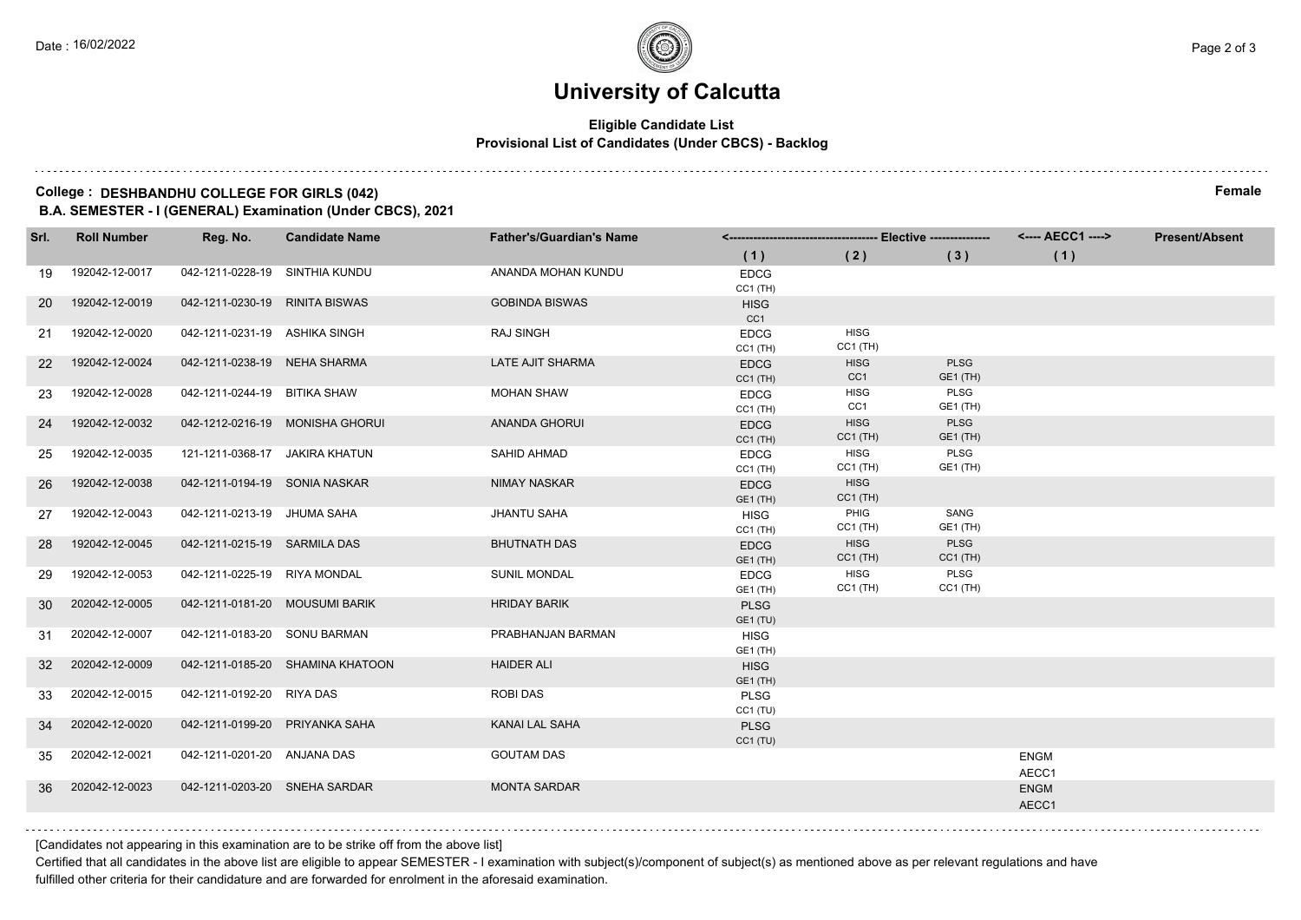# **University of Calcutta**

#### **Eligible Candidate List Provisional List of Candidates (Under CBCS) - Backlog**

### **College : DESHBANDHU COLLEGE FOR GIRLS (042) Female**

**B.A. SEMESTER - I (GENERAL) Examination (Under CBCS), 2021**

| Srl.            | <b>Roll Number</b> | Reg. No.                       | <b>Candidate Name</b>            | <b>Father's/Guardian's Name</b> |                                |                                |                                | <---- AECC1 ---->    | <b>Present/Absent</b> |
|-----------------|--------------------|--------------------------------|----------------------------------|---------------------------------|--------------------------------|--------------------------------|--------------------------------|----------------------|-----------------------|
|                 |                    |                                |                                  |                                 | (1)                            | (2)                            | (3)                            | (1)                  |                       |
| 19              | 192042-12-0017     | 042-1211-0228-19 SINTHIA KUNDU |                                  | ANANDA MOHAN KUNDU              | <b>EDCG</b><br>$CC1$ (TH)      |                                |                                |                      |                       |
| <b>20</b>       | 192042-12-0019     | 042-1211-0230-19 RINITA BISWAS |                                  | <b>GOBINDA BISWAS</b>           | <b>HISG</b><br>CC1             |                                |                                |                      |                       |
| 21              | 192042-12-0020     | 042-1211-0231-19 ASHIKA SINGH  |                                  | <b>RAJ SINGH</b>                | <b>EDCG</b><br>$CC1$ (TH)      | <b>HISG</b><br>$CC1$ (TH)      |                                |                      |                       |
| <b>22</b>       | 192042-12-0024     | 042-1211-0238-19 NEHA SHARMA   |                                  | <b>LATE AJIT SHARMA</b>         | <b>EDCG</b><br>$CC1$ (TH)      | <b>HISG</b><br>CC <sub>1</sub> | PLSG<br>GE1 (TH)               |                      |                       |
| 23              | 192042-12-0028     | 042-1211-0244-19 BITIKA SHAW   |                                  | <b>MOHAN SHAW</b>               | <b>EDCG</b><br>$CC1$ (TH)      | HISG<br>CC1                    | <b>PLSG</b><br><b>GE1 (TH)</b> |                      |                       |
| 24              | 192042-12-0032     |                                | 042-1212-0216-19 MONISHA GHORUI  | <b>ANANDA GHORUI</b>            | <b>EDCG</b><br>$CC1$ (TH)      | <b>HISG</b><br>$CC1$ (TH)      | <b>PLSG</b><br>GE1 (TH)        |                      |                       |
| 25              | 192042-12-0035     | 121-1211-0368-17 JAKIRA KHATUN |                                  | SAHID AHMAD                     | <b>EDCG</b><br>$CC1$ (TH)      | <b>HISG</b><br>$CC1$ (TH)      | <b>PLSG</b><br>GE1 (TH)        |                      |                       |
| 26              | 192042-12-0038     | 042-1211-0194-19 SONIA NASKAR  |                                  | <b>NIMAY NASKAR</b>             | <b>EDCG</b><br><b>GE1 (TH)</b> | <b>HISG</b><br>$CC1$ (TH)      |                                |                      |                       |
| 27              | 192042-12-0043     | 042-1211-0213-19 JHUMA SAHA    |                                  | <b>JHANTU SAHA</b>              | <b>HISG</b><br>$CC1$ (TH)      | PHIG<br>$CC1$ (TH)             | SANG<br><b>GE1 (TH)</b>        |                      |                       |
| 28              | 192042-12-0045     | 042-1211-0215-19 SARMILA DAS   |                                  | <b>BHUTNATH DAS</b>             | <b>EDCG</b><br><b>GE1 (TH)</b> | <b>HISG</b><br>$CC1$ (TH)      | <b>PLSG</b><br>$CC1$ (TH)      |                      |                       |
| 29              | 192042-12-0053     | 042-1211-0225-19 RIYA MONDAL   |                                  | <b>SUNIL MONDAL</b>             | <b>EDCG</b><br><b>GE1 (TH)</b> | <b>HISG</b><br>$CC1$ (TH)      | PLSG<br>$CC1$ (TH)             |                      |                       |
| 30              | 202042-12-0005     | 042-1211-0181-20 MOUSUMI BARIK |                                  | <b>HRIDAY BARIK</b>             | <b>PLSG</b><br><b>GE1 (TU)</b> |                                |                                |                      |                       |
| 31              | 202042-12-0007     | 042-1211-0183-20 SONU BARMAN   |                                  | PRABHANJAN BARMAN               | <b>HISG</b><br><b>GE1 (TH)</b> |                                |                                |                      |                       |
| 32 <sup>2</sup> | 202042-12-0009     |                                | 042-1211-0185-20 SHAMINA KHATOON | <b>HAIDER ALI</b>               | <b>HISG</b><br><b>GE1 (TH)</b> |                                |                                |                      |                       |
| 33              | 202042-12-0015     | 042-1211-0192-20 RIYA DAS      |                                  | ROBI DAS                        | <b>PLSG</b><br>CC1(TU)         |                                |                                |                      |                       |
| 34              | 202042-12-0020     | 042-1211-0199-20 PRIYANKA SAHA |                                  | KANAI LAL SAHA                  | <b>PLSG</b><br>CC1(TU)         |                                |                                |                      |                       |
| 35              | 202042-12-0021     | 042-1211-0201-20 ANJANA DAS    |                                  | <b>GOUTAM DAS</b>               |                                |                                |                                | <b>ENGM</b><br>AECC1 |                       |
| 36              | 202042-12-0023     | 042-1211-0203-20 SNEHA SARDAR  |                                  | <b>MONTA SARDAR</b>             |                                |                                |                                | <b>ENGM</b><br>AECC1 |                       |
|                 |                    |                                |                                  |                                 |                                |                                |                                |                      |                       |

[Candidates not appearing in this examination are to be strike off from the above list]

Certified that all candidates in the above list are eligible to appear SEMESTER - I examination with subject(s)/component of subject(s) as mentioned above as per relevant regulations and have fulfilled other criteria for their candidature and are forwarded for enrolment in the aforesaid examination.